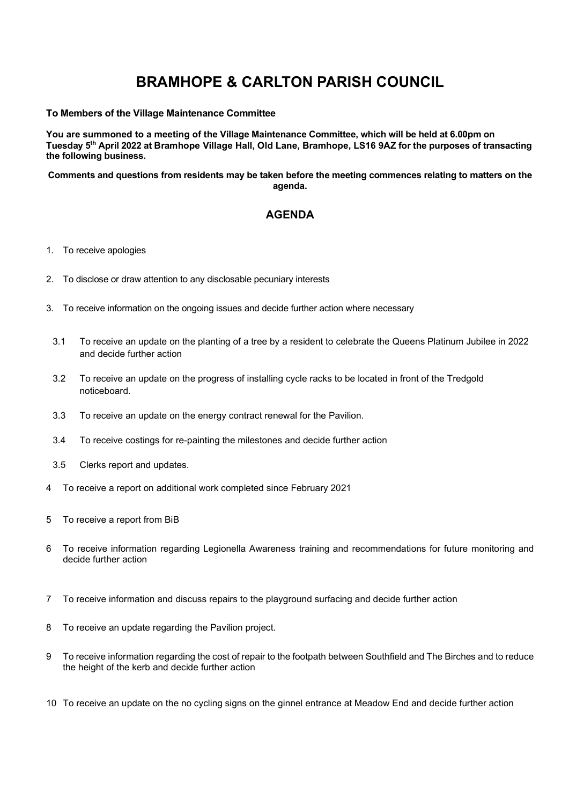## BRAMHOPE & CARLTON PARISH COUNCIL

## To Members of the Village Maintenance Committee

You are summoned to a meeting of the Village Maintenance Committee, which will be held at 6.00pm on Tuesday 5th April 2022 at Bramhope Village Hall, Old Lane, Bramhope, LS16 9AZ for the purposes of transacting the following business.

Comments and questions from residents may be taken before the meeting commences relating to matters on the agenda.

## AGENDA

- 1. To receive apologies
- 2. To disclose or draw attention to any disclosable pecuniary interests
- 3. To receive information on the ongoing issues and decide further action where necessary
	- 3.1 To receive an update on the planting of a tree by a resident to celebrate the Queens Platinum Jubilee in 2022 and decide further action
	- 3.2 To receive an update on the progress of installing cycle racks to be located in front of the Tredgold noticeboard.
	- 3.3 To receive an update on the energy contract renewal for the Pavilion.
	- 3.4 To receive costings for re-painting the milestones and decide further action
	- 3.5 Clerks report and updates.
- 4 To receive a report on additional work completed since February 2021
- 5 To receive a report from BiB
- 6 To receive information regarding Legionella Awareness training and recommendations for future monitoring and decide further action
- 7 To receive information and discuss repairs to the playground surfacing and decide further action
- 8 To receive an update regarding the Pavilion project.
- 9 To receive information regarding the cost of repair to the footpath between Southfield and The Birches and to reduce the height of the kerb and decide further action
- 10 To receive an update on the no cycling signs on the ginnel entrance at Meadow End and decide further action